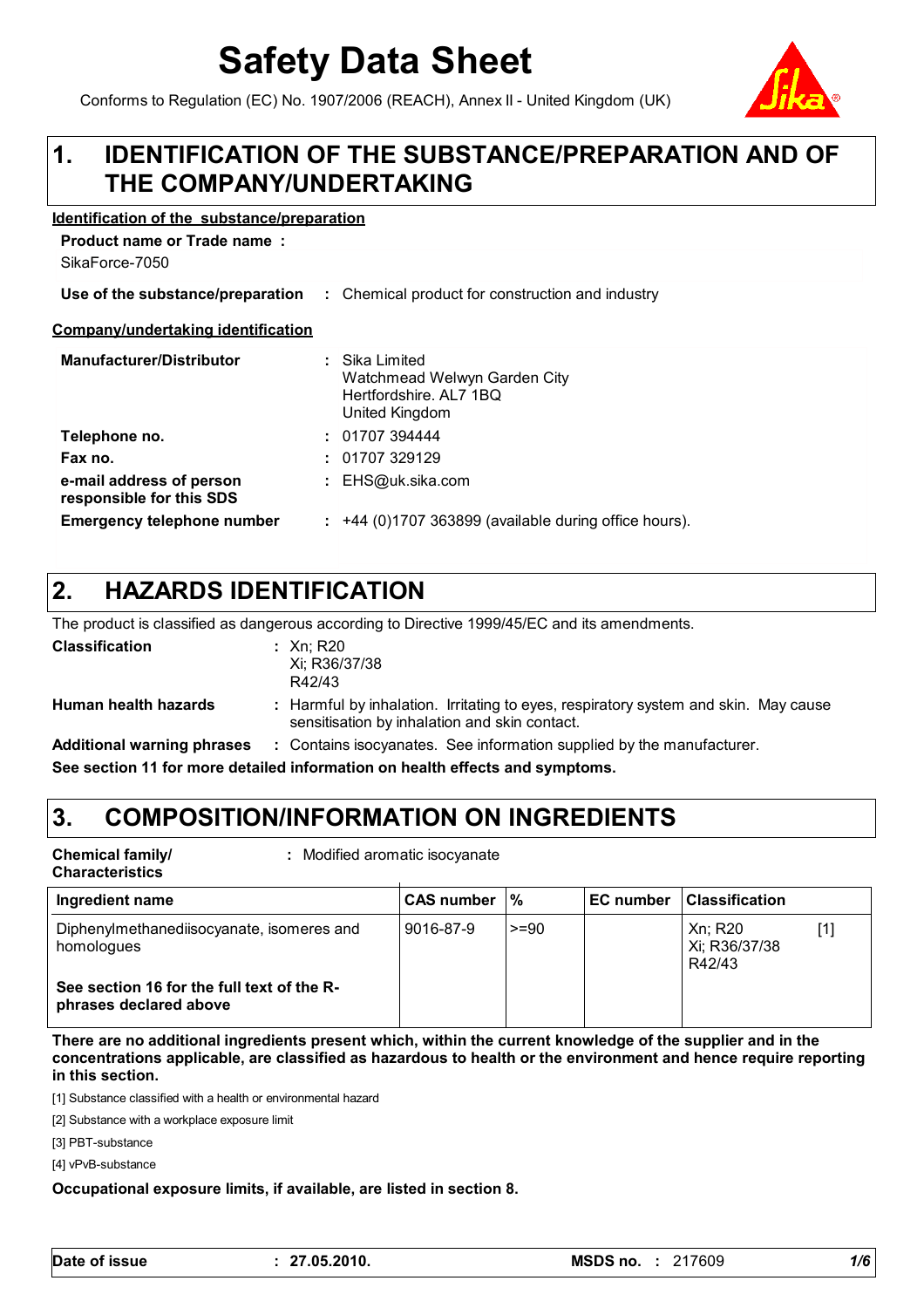# **Safety Data Sheet**

Conforms to Regulation (EC) No. 1907/2006 (REACH), Annex II - United Kingdom (UK)

#### **IDENTIFICATION OF THE SUBSTANCE/PREPARATION AND OF THE COMPANY/UNDERTAKING 1.**

#### **Identification of the substance/preparation**

**Product name or Trade name :**

| SikaForce-7050                                       |                                                                                            |
|------------------------------------------------------|--------------------------------------------------------------------------------------------|
| Use of the substance/preparation                     | : Chemical product for construction and industry                                           |
| Company/undertaking identification                   |                                                                                            |
| <b>Manufacturer/Distributor</b>                      | : Sika Limited<br>Watchmead Welwyn Garden City<br>Hertfordshire, AL7 1BQ<br>United Kingdom |
| Telephone no.                                        | : 01707394444                                                                              |
| Fax no.                                              | : 01707329129                                                                              |
| e-mail address of person<br>responsible for this SDS | : $EHS@uk.sika.com$                                                                        |
| Emergency telephone number                           | $\div$ +44 (0)1707 363899 (available during office hours).                                 |

#### **HAZARDS IDENTIFICATION 2.**

The product is classified as dangerous according to Directive 1999/45/EC and its amendments.

| <b>Classification</b>                                                        |  | : Xn: R20<br>Xi; R36/37/38<br>R42/43                                                                                                 |
|------------------------------------------------------------------------------|--|--------------------------------------------------------------------------------------------------------------------------------------|
| Human health hazards                                                         |  | : Harmful by inhalation. Irritating to eyes, respiratory system and skin. May cause<br>sensitisation by inhalation and skin contact. |
| <b>Additional warning phrases</b>                                            |  | : Contains isocyanates. See information supplied by the manufacturer.                                                                |
| See section 11 for more detailed information on health effects and symptoms. |  |                                                                                                                                      |

### **3. COMPOSITION/INFORMATION ON INGREDIENTS**

**Chemical family/**

**:** Modified aromatic isocyanate

**Characteristics**

| Ingredient name                                                      | <b>CAS number</b> | $\mathcal{C}$ | <b>EC number   Classification</b>  |
|----------------------------------------------------------------------|-------------------|---------------|------------------------------------|
| Diphenylmethanediisocyanate, isomeres and<br>homologues              | 9016-87-9         | $>= 90$       | Xn; R20<br>Xi; R36/37/38<br>R42/43 |
| See section 16 for the full text of the R-<br>phrases declared above |                   |               |                                    |

**There are no additional ingredients present which, within the current knowledge of the supplier and in the concentrations applicable, are classified as hazardous to health or the environment and hence require reporting in this section.**

[1] Substance classified with a health or environmental hazard

[2] Substance with a workplace exposure limit

[3] PBT-substance

[4] vPvB-substance

#### **Occupational exposure limits, if available, are listed in section 8.**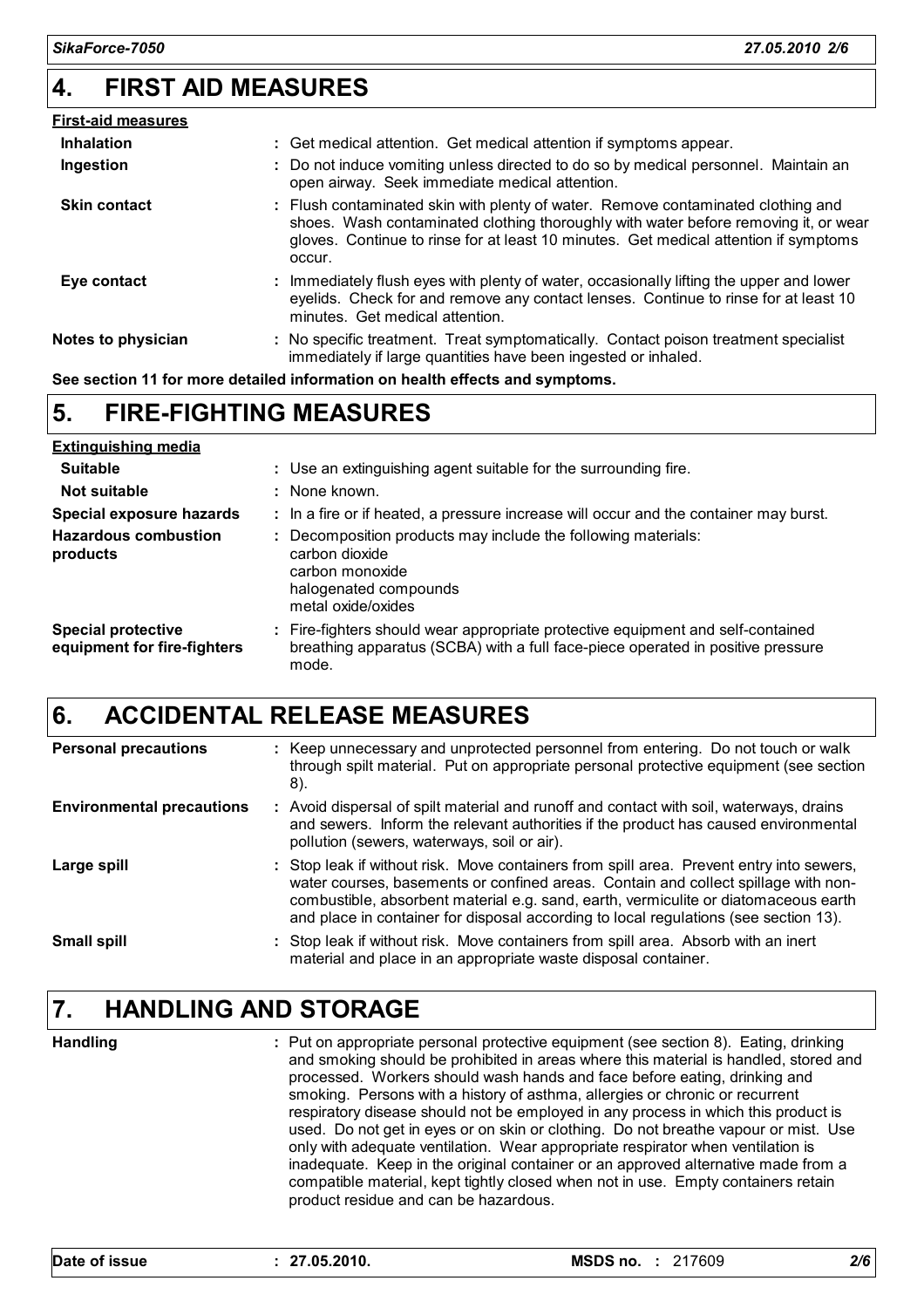#### **4. FIRST AID MEASURES**

| <b>First-aid measures</b> |                                                                                                                                                                                                                                                                           |
|---------------------------|---------------------------------------------------------------------------------------------------------------------------------------------------------------------------------------------------------------------------------------------------------------------------|
| <b>Inhalation</b>         | : Get medical attention. Get medical attention if symptoms appear.                                                                                                                                                                                                        |
| Ingestion                 | : Do not induce vomiting unless directed to do so by medical personnel. Maintain an<br>open airway. Seek immediate medical attention.                                                                                                                                     |
| <b>Skin contact</b>       | : Flush contaminated skin with plenty of water. Remove contaminated clothing and<br>shoes. Wash contaminated clothing thoroughly with water before removing it, or wear<br>gloves. Continue to rinse for at least 10 minutes. Get medical attention if symptoms<br>occur. |
| Eye contact               | : Immediately flush eyes with plenty of water, occasionally lifting the upper and lower<br>eyelids. Check for and remove any contact lenses. Continue to rinse for at least 10<br>minutes. Get medical attention.                                                         |
| Notes to physician        | : No specific treatment. Treat symptomatically. Contact poison treatment specialist<br>immediately if large quantities have been ingested or inhaled.                                                                                                                     |

**See section 11 for more detailed information on health effects and symptoms.**

#### **FIRE-FIGHTING MEASURES 5.**

| <b>Extinguishing media</b>                               |                                                                                                                                                                             |
|----------------------------------------------------------|-----------------------------------------------------------------------------------------------------------------------------------------------------------------------------|
| <b>Suitable</b>                                          | : Use an extinguishing agent suitable for the surrounding fire.                                                                                                             |
| Not suitable                                             | : None known.                                                                                                                                                               |
| Special exposure hazards                                 | : In a fire or if heated, a pressure increase will occur and the container may burst.                                                                                       |
| <b>Hazardous combustion</b><br>products                  | Decomposition products may include the following materials:<br>carbon dioxide<br>carbon monoxide<br>halogenated compounds<br>metal oxide/oxides                             |
| <b>Special protective</b><br>equipment for fire-fighters | : Fire-fighters should wear appropriate protective equipment and self-contained<br>breathing apparatus (SCBA) with a full face-piece operated in positive pressure<br>mode. |

### **6. ACCIDENTAL RELEASE MEASURES**

| <b>Personal precautions</b>      | : Keep unnecessary and unprotected personnel from entering. Do not touch or walk<br>through spilt material. Put on appropriate personal protective equipment (see section<br>8).                                                                                                                                                                              |
|----------------------------------|---------------------------------------------------------------------------------------------------------------------------------------------------------------------------------------------------------------------------------------------------------------------------------------------------------------------------------------------------------------|
| <b>Environmental precautions</b> | : Avoid dispersal of spilt material and runoff and contact with soil, waterways, drains<br>and sewers. Inform the relevant authorities if the product has caused environmental<br>pollution (sewers, waterways, soil or air).                                                                                                                                 |
| Large spill                      | : Stop leak if without risk. Move containers from spill area. Prevent entry into sewers,<br>water courses, basements or confined areas. Contain and collect spillage with non-<br>combustible, absorbent material e.g. sand, earth, vermiculite or diatomaceous earth<br>and place in container for disposal according to local regulations (see section 13). |
| <b>Small spill</b>               | : Stop leak if without risk. Move containers from spill area. Absorb with an inert<br>material and place in an appropriate waste disposal container.                                                                                                                                                                                                          |

### **7. HANDLING AND STORAGE**

**Handling**

Put on appropriate personal protective equipment (see section 8). Eating, drinking **:** and smoking should be prohibited in areas where this material is handled, stored and processed. Workers should wash hands and face before eating, drinking and smoking. Persons with a history of asthma, allergies or chronic or recurrent respiratory disease should not be employed in any process in which this product is used. Do not get in eyes or on skin or clothing. Do not breathe vapour or mist. Use only with adequate ventilation. Wear appropriate respirator when ventilation is inadequate. Keep in the original container or an approved alternative made from a compatible material, kept tightly closed when not in use. Empty containers retain product residue and can be hazardous.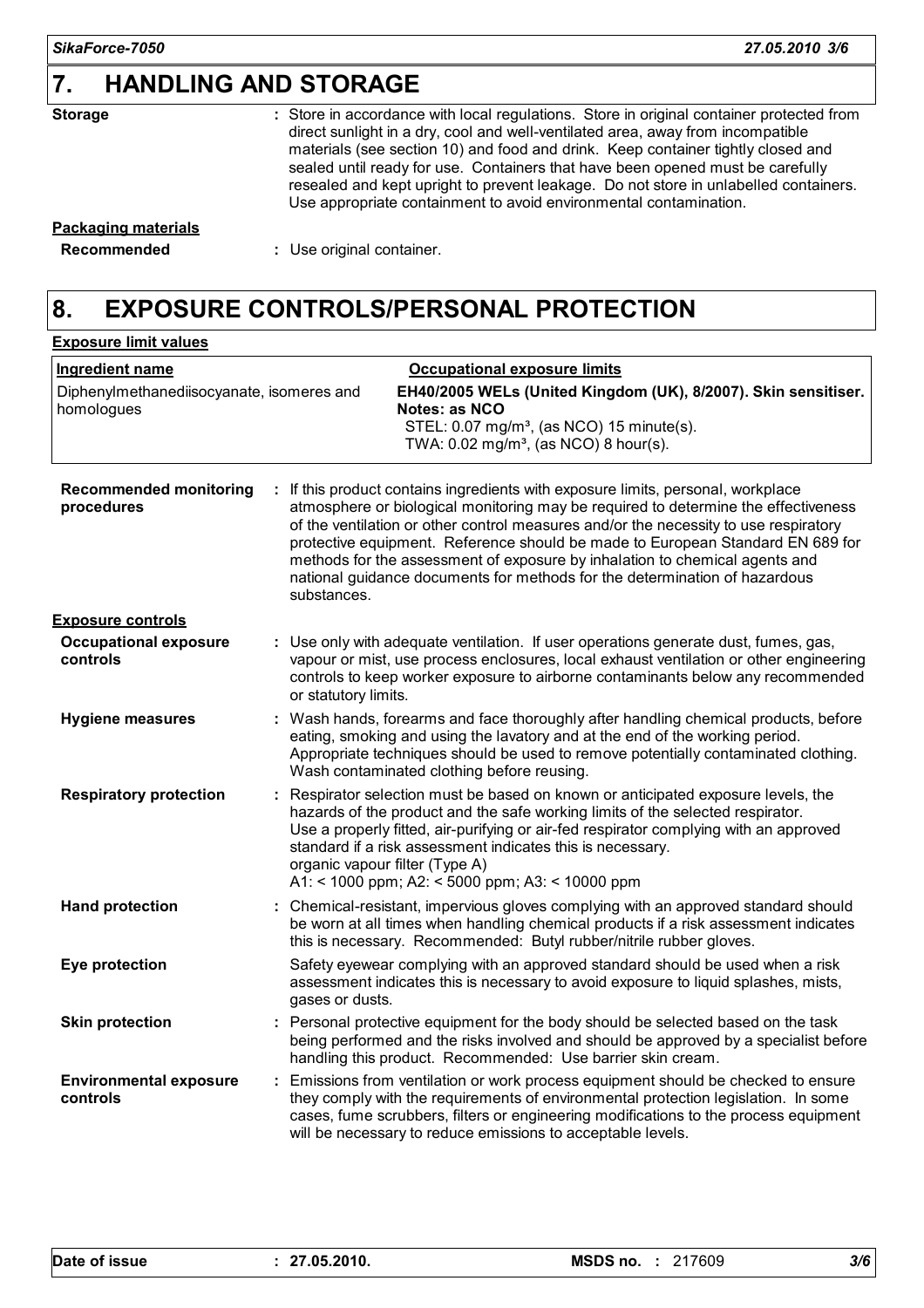### **7. HANDLING AND STORAGE**

| <b>Storage</b> |  |
|----------------|--|
|                |  |
|                |  |

Store in accordance with local regulations. Store in original container protected from **:** direct sunlight in a dry, cool and well-ventilated area, away from incompatible materials (see section 10) and food and drink. Keep container tightly closed and sealed until ready for use. Containers that have been opened must be carefully resealed and kept upright to prevent leakage. Do not store in unlabelled containers. Use appropriate containment to avoid environmental contamination.

## **Packaging materials**

**Recommended :** Use original container.

### **8. EXPOSURE CONTROLS/PERSONAL PROTECTION**

| <b>Exposure limit values</b>                            |                                                                                                                                                                                                                                                                                                                                                                                                                                                                                                                            |
|---------------------------------------------------------|----------------------------------------------------------------------------------------------------------------------------------------------------------------------------------------------------------------------------------------------------------------------------------------------------------------------------------------------------------------------------------------------------------------------------------------------------------------------------------------------------------------------------|
| <b>Ingredient name</b>                                  | <b>Occupational exposure limits</b>                                                                                                                                                                                                                                                                                                                                                                                                                                                                                        |
| Diphenylmethanediisocyanate, isomeres and<br>homologues | EH40/2005 WELs (United Kingdom (UK), 8/2007). Skin sensitiser.<br>Notes: as NCO<br>STEL: 0.07 mg/m <sup>3</sup> , (as NCO) 15 minute(s).<br>TWA: 0.02 mg/m <sup>3</sup> , (as NCO) 8 hour(s).                                                                                                                                                                                                                                                                                                                              |
| <b>Recommended monitoring</b><br>procedures             | If this product contains ingredients with exposure limits, personal, workplace<br>atmosphere or biological monitoring may be required to determine the effectiveness<br>of the ventilation or other control measures and/or the necessity to use respiratory<br>protective equipment. Reference should be made to European Standard EN 689 for<br>methods for the assessment of exposure by inhalation to chemical agents and<br>national guidance documents for methods for the determination of hazardous<br>substances. |
| <b>Exposure controls</b>                                |                                                                                                                                                                                                                                                                                                                                                                                                                                                                                                                            |
| <b>Occupational exposure</b><br>controls                | Use only with adequate ventilation. If user operations generate dust, fumes, gas,<br>vapour or mist, use process enclosures, local exhaust ventilation or other engineering<br>controls to keep worker exposure to airborne contaminants below any recommended<br>or statutory limits.                                                                                                                                                                                                                                     |
| <b>Hygiene measures</b>                                 | Wash hands, forearms and face thoroughly after handling chemical products, before<br>eating, smoking and using the lavatory and at the end of the working period.<br>Appropriate techniques should be used to remove potentially contaminated clothing.<br>Wash contaminated clothing before reusing.                                                                                                                                                                                                                      |
| <b>Respiratory protection</b>                           | Respirator selection must be based on known or anticipated exposure levels, the<br>hazards of the product and the safe working limits of the selected respirator.<br>Use a properly fitted, air-purifying or air-fed respirator complying with an approved<br>standard if a risk assessment indicates this is necessary.<br>organic vapour filter (Type A)<br>A1: < 1000 ppm; A2: < 5000 ppm; A3: < 10000 ppm                                                                                                              |
| <b>Hand protection</b>                                  | : Chemical-resistant, impervious gloves complying with an approved standard should<br>be worn at all times when handling chemical products if a risk assessment indicates<br>this is necessary. Recommended: Butyl rubber/nitrile rubber gloves.                                                                                                                                                                                                                                                                           |
| Eye protection                                          | Safety eyewear complying with an approved standard should be used when a risk<br>assessment indicates this is necessary to avoid exposure to liquid splashes, mists,<br>gases or dusts.                                                                                                                                                                                                                                                                                                                                    |
| <b>Skin protection</b>                                  | : Personal protective equipment for the body should be selected based on the task<br>being performed and the risks involved and should be approved by a specialist before<br>handling this product. Recommended: Use barrier skin cream.                                                                                                                                                                                                                                                                                   |
| <b>Environmental exposure</b><br>controls               | Emissions from ventilation or work process equipment should be checked to ensure<br>they comply with the requirements of environmental protection legislation. In some<br>cases, fume scrubbers, filters or engineering modifications to the process equipment<br>will be necessary to reduce emissions to acceptable levels.                                                                                                                                                                                              |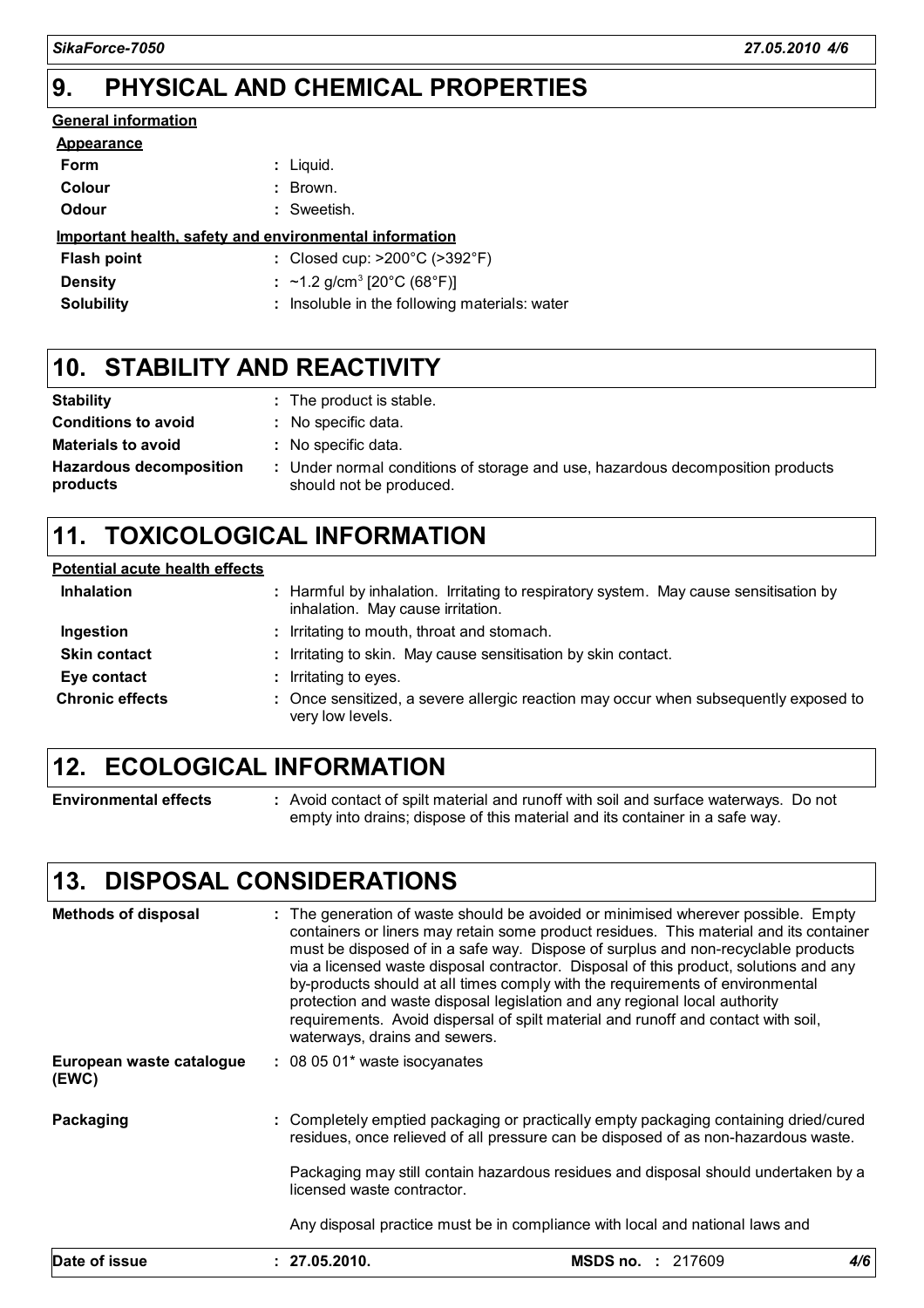#### **PHYSICAL AND CHEMICAL PROPERTIES 9.**

### **General information**

| <b>Appearance</b>  |                                                        |
|--------------------|--------------------------------------------------------|
| Form               | : Liguid.                                              |
| Colour             | : Brown.                                               |
| Odour              | : Sweetish.                                            |
|                    | Important health, safety and environmental information |
| <b>Flash point</b> | : Closed cup: $>200^{\circ}$ C ( $>392^{\circ}$ F)     |
| <b>Density</b>     | : ~1.2 g/cm <sup>3</sup> [20°C (68°F)]                 |
| <b>Solubility</b>  | : Insoluble in the following materials: water          |

### **STABILITY AND REACTIVITY 10.**

| <b>Stability</b>                           | : The product is stable.                                                                                  |
|--------------------------------------------|-----------------------------------------------------------------------------------------------------------|
| <b>Conditions to avoid</b>                 | : No specific data.                                                                                       |
| <b>Materials to avoid</b>                  | : No specific data.                                                                                       |
| <b>Hazardous decomposition</b><br>products | : Under normal conditions of storage and use, hazardous decomposition products<br>should not be produced. |

### **11. TOXICOLOGICAL INFORMATION**

| <b>Potential acute health effects</b> |                                                                                                                            |
|---------------------------------------|----------------------------------------------------------------------------------------------------------------------------|
| <b>Inhalation</b>                     | : Harmful by inhalation. Irritating to respiratory system. May cause sensitisation by<br>inhalation. May cause irritation. |
| Ingestion                             | : Irritating to mouth, throat and stomach.                                                                                 |
| <b>Skin contact</b>                   | : Irritating to skin. May cause sensitisation by skin contact.                                                             |
| Eye contact                           | : Irritating to eyes.                                                                                                      |
| <b>Chronic effects</b>                | : Once sensitized, a severe allergic reaction may occur when subsequently exposed to<br>very low levels.                   |

### **12. ECOLOGICAL INFORMATION**

**Environmental effects :** Avoid contact of spilt material and runoff with soil and surface waterways. Do not empty into drains; dispose of this material and its container in a safe way.

### **13. DISPOSAL CONSIDERATIONS**

| <b>Methods of disposal</b>        | : The generation of waste should be avoided or minimised wherever possible. Empty<br>containers or liners may retain some product residues. This material and its container<br>must be disposed of in a safe way. Dispose of surplus and non-recyclable products<br>via a licensed waste disposal contractor. Disposal of this product, solutions and any<br>by-products should at all times comply with the requirements of environmental<br>protection and waste disposal legislation and any regional local authority<br>requirements. Avoid dispersal of spilt material and runoff and contact with soil,<br>waterways, drains and sewers. |
|-----------------------------------|------------------------------------------------------------------------------------------------------------------------------------------------------------------------------------------------------------------------------------------------------------------------------------------------------------------------------------------------------------------------------------------------------------------------------------------------------------------------------------------------------------------------------------------------------------------------------------------------------------------------------------------------|
| European waste catalogue<br>(EWC) | $: 080501*$ waste isocyanates                                                                                                                                                                                                                                                                                                                                                                                                                                                                                                                                                                                                                  |
| Packaging                         | : Completely emptied packaging or practically empty packaging containing dried/cured<br>residues, once relieved of all pressure can be disposed of as non-hazardous waste.<br>Packaging may still contain hazardous residues and disposal should undertaken by a<br>licensed waste contractor.                                                                                                                                                                                                                                                                                                                                                 |
|                                   | Any disposal practice must be in compliance with local and national laws and                                                                                                                                                                                                                                                                                                                                                                                                                                                                                                                                                                   |
| Date of issue                     | 4/6<br>: 27.05.2010.<br><b>MSDS no. : 217609</b>                                                                                                                                                                                                                                                                                                                                                                                                                                                                                                                                                                                               |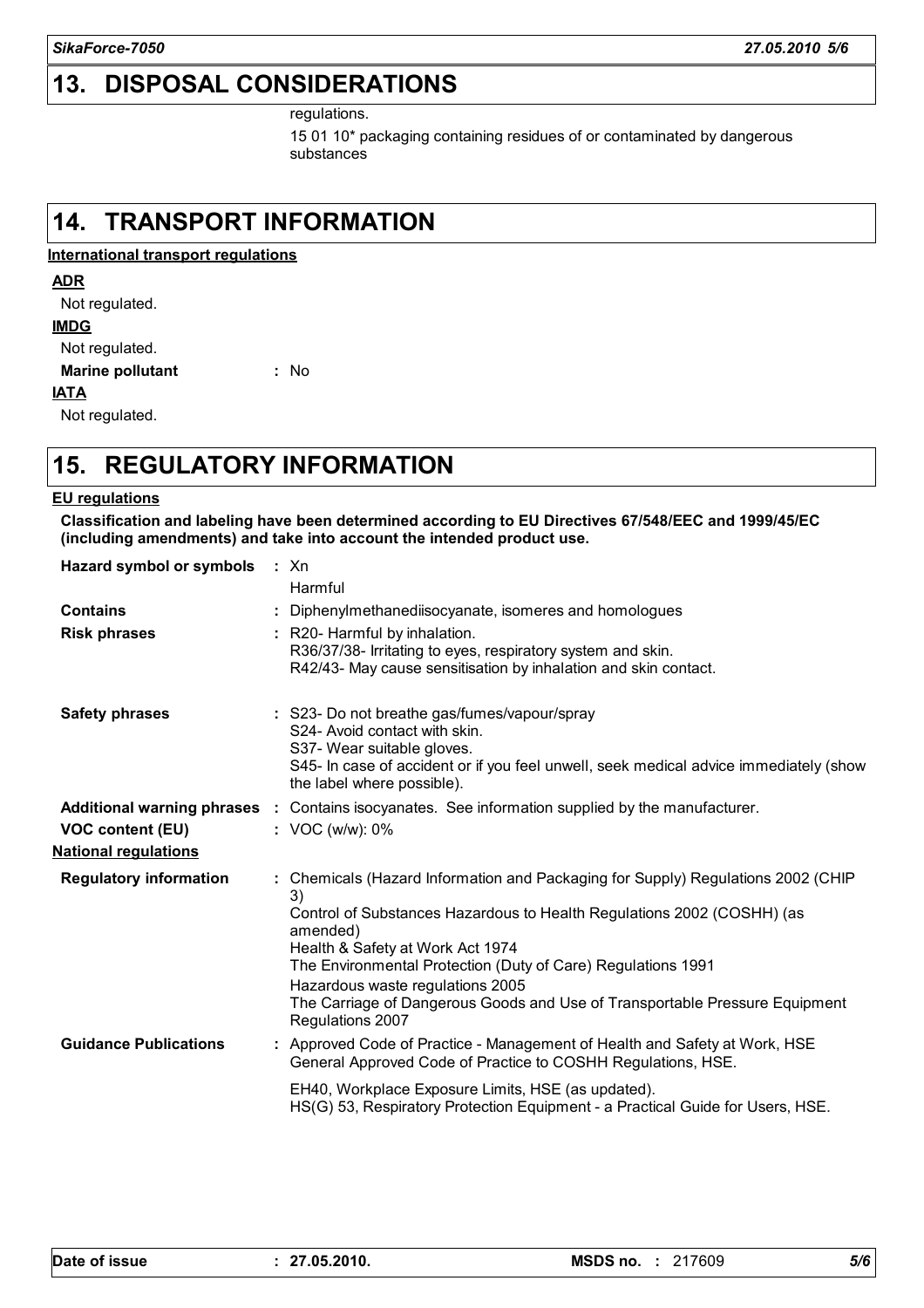### **13. DISPOSAL CONSIDERATIONS**

regulations.

15 01 10\* packaging containing residues of or contaminated by dangerous substances

#### **14. TRANSPORT INFORMATION**

**International transport regulations**

#### **ADR**

Not regulated.

#### **IMDG**

Not regulated.

**Marine pollutant** 

#### **IATA**

Not regulated.

### **15. REGULATORY INFORMATION**

**:**

#### **EU regulations**

**Classification and labeling have been determined according to EU Directives 67/548/EEC and 1999/45/EC (including amendments) and take into account the intended product use.**

**Hazard symbol or symbols :** Xn

|                               | Harmful                                                                                                                                                                                                                            |
|-------------------------------|------------------------------------------------------------------------------------------------------------------------------------------------------------------------------------------------------------------------------------|
| <b>Contains</b>               | Diphenylmethanediisocyanate, isomeres and homologues                                                                                                                                                                               |
| <b>Risk phrases</b>           | : R20- Harmful by inhalation.<br>R36/37/38- Irritating to eyes, respiratory system and skin.<br>R42/43- May cause sensitisation by inhalation and skin contact.                                                                    |
| <b>Safety phrases</b>         | : S23- Do not breathe gas/fumes/vapour/spray<br>S24- Avoid contact with skin.<br>S37- Wear suitable gloves.<br>S45- In case of accident or if you feel unwell, seek medical advice immediately (show<br>the label where possible). |
| Additional warning phrases :  | Contains isocyanates. See information supplied by the manufacturer.                                                                                                                                                                |
| <b>VOC content (EU)</b>       | : VOC (w/w): 0%                                                                                                                                                                                                                    |
| <u>National regulations</u>   |                                                                                                                                                                                                                                    |
| <b>Regulatory information</b> | : Chemicals (Hazard Information and Packaging for Supply) Regulations 2002 (CHIP<br>3)                                                                                                                                             |
|                               | Control of Substances Hazardous to Health Regulations 2002 (COSHH) (as<br>amended)                                                                                                                                                 |
|                               | Health & Safety at Work Act 1974                                                                                                                                                                                                   |
|                               | The Environmental Protection (Duty of Care) Regulations 1991                                                                                                                                                                       |
|                               | Hazardous waste regulations 2005<br>The Carriage of Dangerous Goods and Use of Transportable Pressure Equipment<br>Regulations 2007                                                                                                |
| <b>Guidance Publications</b>  | : Approved Code of Practice - Management of Health and Safety at Work, HSE<br>General Approved Code of Practice to COSHH Regulations, HSE.                                                                                         |
|                               | EH40, Workplace Exposure Limits, HSE (as updated).<br>HS(G) 53, Respiratory Protection Equipment - a Practical Guide for Users, HSE.                                                                                               |